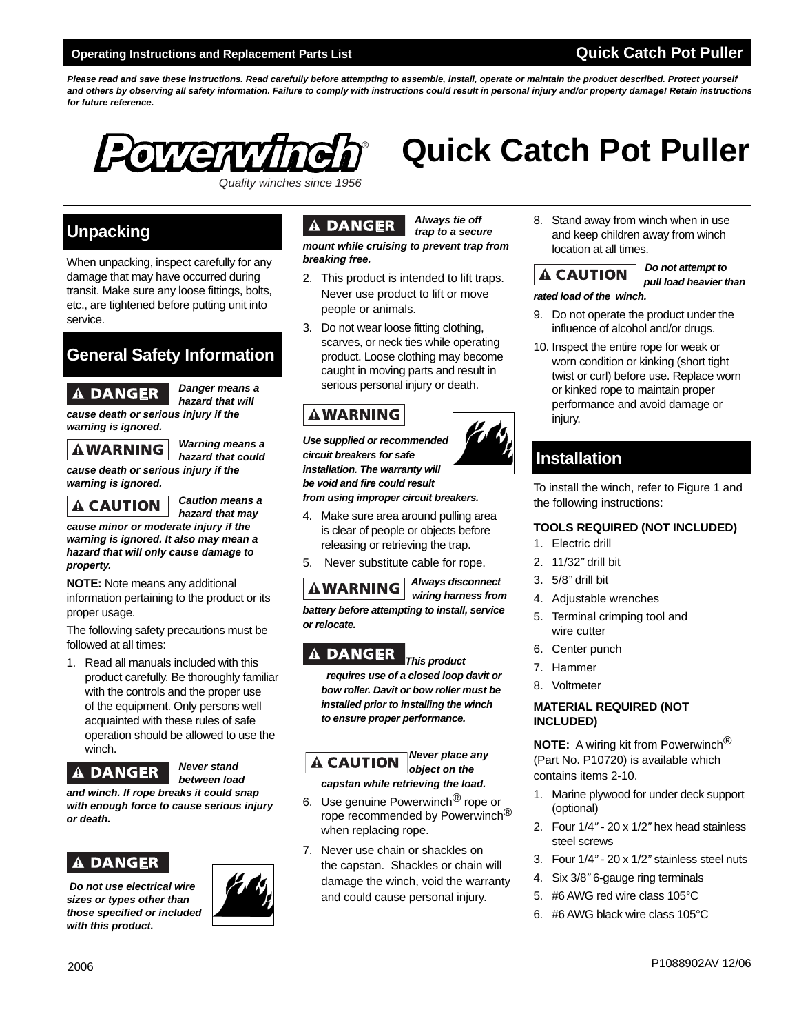Please read and save these instructions. Read carefully before attempting to assemble, install, operate or maintain the product described. Protect yourself *and others by observing all safety information. Failure to comply with instructions could result in personal injury and/or property damage! Retain instructions for future reference.* 



# **Quick Catch Pot Puller**

*Quality winches since 1956*

### **Unpacking**

When unpacking, inspect carefully for any damage that may have occurred during transit. Make sure any loose fittings, bolts, etc., are tightened before putting unit into service.

### **General Safety Information**

## *Danger means a*

 *hazard that will cause death or serious injury if the warning is ignored.*

 *Warning means a hazard that could* 

*cause death or serious injury if the warning is ignored.*



 *Caution means a hazard that may* 

*cause minor or moderate injury if the warning is ignored. It also may mean a hazard that will only cause damage to property.*

**NOTE:** Note means any additional information pertaining to the product or its proper usage.

The following safety precautions must be followed at all times:

1. Read all manuals included with this product carefully. Be thoroughly familiar with the controls and the proper use of the equipment. Only persons well acquainted with these rules of safe operation should be allowed to use the winch.

### *Never stand*

### *between load*

*and winch. If rope breaks it could snap with enough force to cause serious injury or death.*

### **DANGER**

 *Do not use electrical wire sizes or types other than those specified or included with this product.*



### *Always tie off*

 *trap to a secure*

*mount while cruising to prevent trap from breaking free.*

- 2. This product is intended to lift traps. Never use product to lift or move people or animals.
- 3. Do not wear loose fitting clothing, scarves, or neck ties while operating product. Loose clothing may become caught in moving parts and result in serious personal injury or death.

### **AWARNING**

*Use supplied or recommended circuit breakers for safe installation. The warranty will be void and fire could result from using improper circuit breakers.*

- 
- 4. Make sure area around pulling area is clear of people or objects before releasing or retrieving the trap.
- 5. Never substitute cable for rope.

 *Always disconnect wiring harness from battery before attempting to install, service or relocate.*

### **A DANGER**

*This product requires use of a closed loop davit or bow roller. Davit or bow roller must be installed prior to installing the winch to ensure proper performance.* 

*Never place any*  **A CAUTION** *object on the capstan while retrieving the load.*

- 6. Use genuine Powerwinch<sup>®</sup> rope or rope recommended by Powerwinch® when replacing rope.
- 7. Never use chain or shackles on the capstan. Shackles or chain will damage the winch, void the warranty and could cause personal injury.

8. Stand away from winch when in use and keep children away from winch location at all times.

## *Do not attempt to*

 *pull load heavier than* 

*rated load of the winch.*

- 9. Do not operate the product under the influence of alcohol and/or drugs.
- 10. Inspect the entire rope for weak or worn condition or kinking (short tight twist or curl) before use. Replace worn or kinked rope to maintain proper performance and avoid damage or injury.

## **Installation**

To install the winch, refer to Figure 1 and the following instructions:

#### **TOOLS REQUIRED (NOT INCLUDED)**

- 1. Electric drill
- 2. 11/32*"* drill bit
- 3. 5/8*"* drill bit
- 4. Adjustable wrenches
- 5. Terminal crimping tool and wire cutter
- 6. Center punch
- 7. Hammer
- 8. Voltmeter

#### **MATERIAL REQUIRED (NOT INCLUDED)**

**NOTE:** A wiring kit from Powerwinch<sup>®</sup> (Part No. P10720) is available which contains items 2-10.

- 1. Marine plywood for under deck support (optional)
- 2. Four 1/4*"* 20 x 1/2*"* hex head stainless steel screws
- 3. Four 1/4*"* 20 x 1/2*"* stainless steel nuts
- 4. Six 3/8*"* 6-gauge ring terminals
- 5. #6 AWG red wire class 105°C
- 6. #6 AWG black wire class 105°C

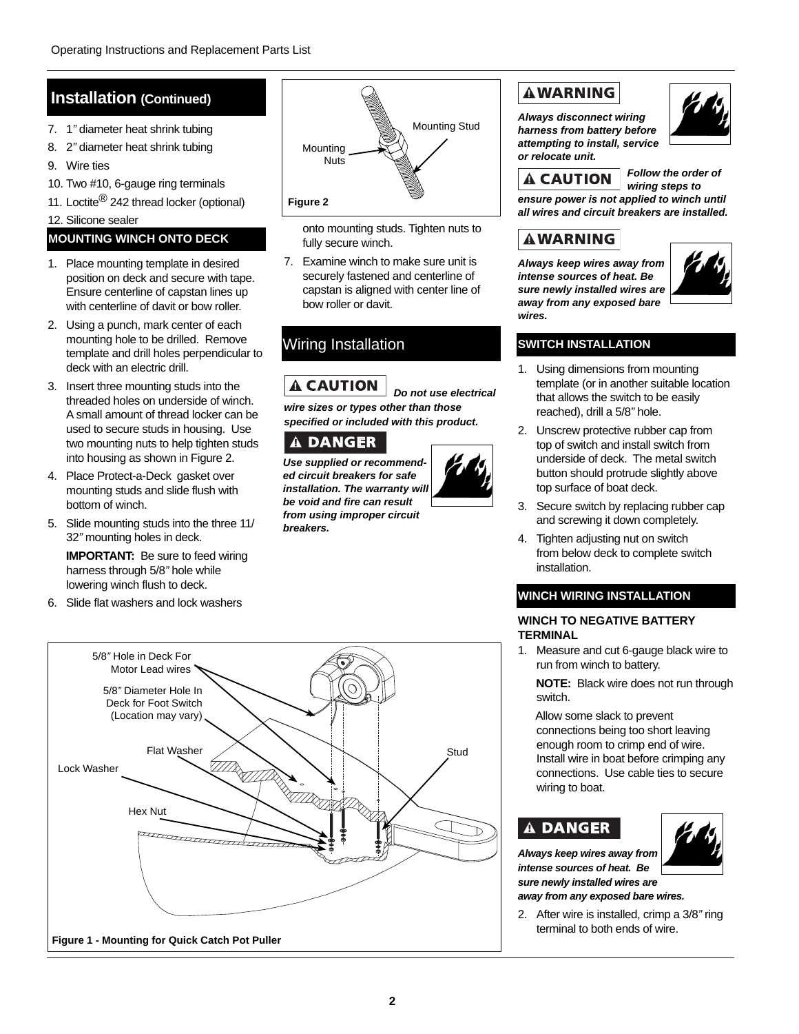### **Installation (Continued)**

- 7. 1*"* diameter heat shrink tubing
- 8. 2*"* diameter heat shrink tubing
- 9. Wire ties
- 10. Two #10, 6-gauge ring terminals
- 11. Loctite<sup>®</sup> 242 thread locker (optional)

#### 12. Silicone sealer

#### **MOUNTING WINCH ONTO DECK**

- 1. Place mounting template in desired position on deck and secure with tape. Ensure centerline of capstan lines up with centerline of davit or bow roller.
- 2. Using a punch, mark center of each mounting hole to be drilled. Remove template and drill holes perpendicular to deck with an electric drill.
- 3. Insert three mounting studs into the threaded holes on underside of winch. A small amount of thread locker can be used to secure studs in housing. Use two mounting nuts to help tighten studs into housing as shown in Figure 2.
- 4. Place Protect-a-Deck gasket over mounting studs and slide flush with bottom of winch.
- 5. Slide mounting studs into the three 11/ 32*"* mounting holes in deck.

**IMPORTANT:** Be sure to feed wiring harness through 5/8*"* hole while lowering winch flush to deck.

6. Slide flat washers and lock washers



onto mounting studs. Tighten nuts to fully secure winch.

7. Examine winch to make sure unit is securely fastened and centerline of capstan is aligned with center line of bow roller or davit.

### Wiring Installation

**A CAUTION** *Do not use electrical wire sizes or types other than those specified or included with this product.*

### A DANGER

**Use supplied or recommend***ed circuit breakers for safe installation. The warranty will be void and fire can result from using improper circuit breakers.*



# 5/8*"* Hole in Deck For Motor Lead wires 5/8*"* Diameter Hole In Deck for Foot Switch (Location may vary) Flat Washer Studence of the Company of the Studence of the Studence of the Studence of the Studence of the Studence of the Studence of the Studence of the Studence of the Studence of the Studence of the Studence of the Stu Lock Washer Hex Nut **Figure 1 - Mounting for Quick Catch Pot Puller**

### **AWARNING**

*Always disconnect wiring harness from battery before attempting to install, service or relocate unit.* 



*A* CAUTION Follow the order of  *wiring steps to ensure power is not applied to winch until all wires and circuit breakers are installed.*

### **AWARNING**

*Always keep wires away from intense sources of heat. Be sure newly installed wires are away from any exposed bare wires.*



### **SWITCH INSTALLATION**

- 1. Using dimensions from mounting template (or in another suitable location that allows the switch to be easily reached), drill a 5/8*"* hole.
- 2. Unscrew protective rubber cap from top of switch and install switch from underside of deck. The metal switch button should protrude slightly above top surface of boat deck.
- 3. Secure switch by replacing rubber cap and screwing it down completely.
- 4. Tighten adjusting nut on switch from below deck to complete switch installation.

### **WINCH WIRING INSTALLATION**

#### **WINCH TO NEGATIVE BATTERY TERMINAL**

1. Measure and cut 6-gauge black wire to run from winch to battery.

**NOTE:** Black wire does not run through switch.

 Allow some slack to prevent connections being too short leaving enough room to crimp end of wire. Install wire in boat before crimping any connections. Use cable ties to secure wiring to boat.

#### **DANGER** Â.

*Always keep wires away from intense sources of heat. Be sure newly installed wires are* 

*away from any exposed bare wires.*

2. After wire is installed, crimp a 3/8*"* ring terminal to both ends of wire.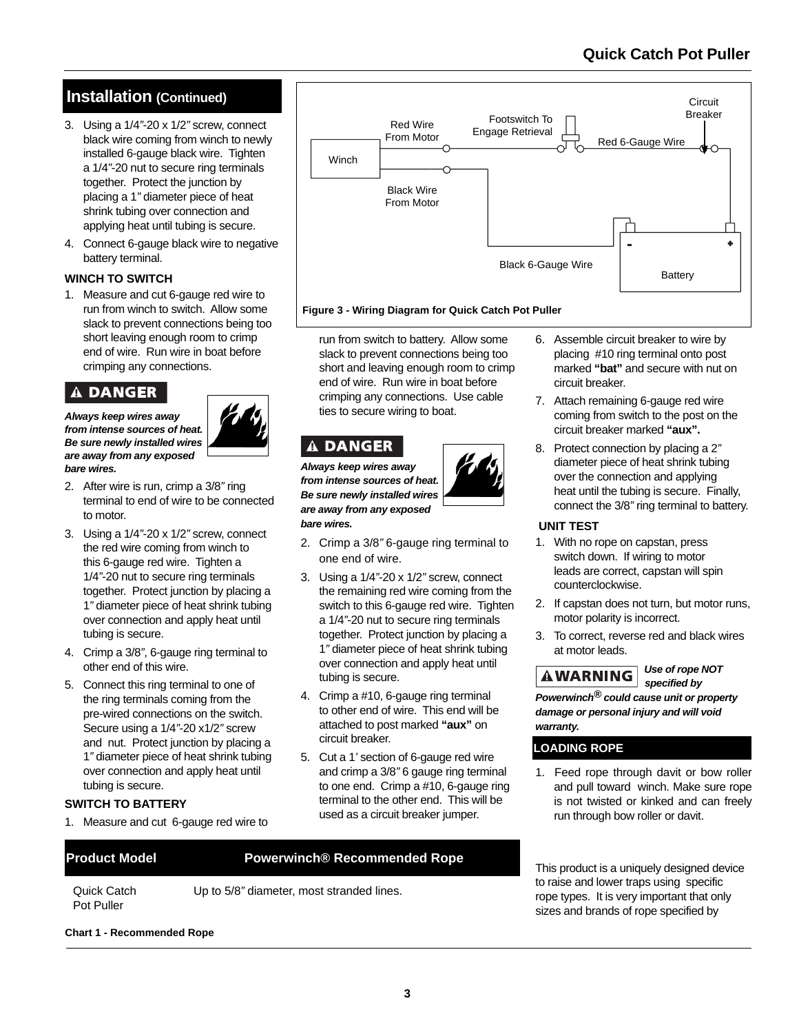### **Quick Catch Pot Puller**

### **Installation (Continued)**

- 3. Using a 1/4*"*-20 x 1/2*"* screw, connect black wire coming from winch to newly installed 6-gauge black wire. Tighten a 1/4*"*-20 nut to secure ring terminals together. Protect the junction by placing a 1*"* diameter piece of heat shrink tubing over connection and applying heat until tubing is secure.
- 4. Connect 6-gauge black wire to negative battery terminal.

#### **WINCH TO SWITCH**

1. Measure and cut 6-gauge red wire to run from winch to switch. Allow some slack to prevent connections being too short leaving enough room to crimp end of wire. Run wire in boat before crimping any connections.

### A DANGER

*Always keep wires away from intense sources of heat. Be sure newly installed wires are away from any exposed bare wires.* 



- 2. After wire is run, crimp a 3/8*"* ring terminal to end of wire to be connected to motor.
- 3. Using a 1/4*"*-20 x 1/2*"* screw, connect the red wire coming from winch to this 6-gauge red wire. Tighten a 1/4*"*-20 nut to secure ring terminals together. Protect junction by placing a 1*"* diameter piece of heat shrink tubing over connection and apply heat until tubing is secure.
- 4. Crimp a 3/8*"*, 6-gauge ring terminal to other end of this wire.
- 5. Connect this ring terminal to one of the ring terminals coming from the pre-wired connections on the switch. Secure using a 1/4*"*-20 x1/2*"* screw and nut. Protect junction by placing a 1*"* diameter piece of heat shrink tubing over connection and apply heat until tubing is secure.

#### **SWITCH TO BATTERY**

1. Measure and cut 6-gauge red wire to

#### run from switch to battery. Allow some slack to prevent connections being too short and leaving enough room to crimp end of wire. Run wire in boat before crimping any connections. Use cable ties to secure wiring to boat.

### **A DANGER**

*Always keep wires away from intense sources of heat. Be sure newly installed wires are away from any exposed bare wires.* 

- 2. Crimp a 3/8*"* 6-gauge ring terminal to one end of wire.
- 3. Using a 1/4*"*-20 x 1/2*"* screw, connect the remaining red wire coming from the switch to this 6-gauge red wire. Tighten a 1/4*"*-20 nut to secure ring terminals together. Protect junction by placing a 1*"* diameter piece of heat shrink tubing over connection and apply heat until tubing is secure.
- 4. Crimp a #10, 6-gauge ring terminal to other end of wire. This end will be attached to post marked **"aux"** on circuit breaker.
- 5. Cut a 1*'* section of 6-gauge red wire and crimp a 3/8*"* 6 gauge ring terminal to one end. Crimp a #10, 6-gauge ring terminal to the other end. This will be used as a circuit breaker jumper.

#### **Product Model Powerwinch® Recommended Rope**

 Quick Catch Pot Puller

Up to 5/8*"* diameter, most stranded lines.

#### **Chart 1 - Recommended Rope**



**Figure 3 - Wiring Diagram for Quick Catch Pot Puller**

- 6. Assemble circuit breaker to wire by placing #10 ring terminal onto post marked **"bat"** and secure with nut on circuit breaker.
	- 7. Attach remaining 6-gauge red wire coming from switch to the post on the circuit breaker marked **"aux".**
	- 8. Protect connection by placing a 2*"* diameter piece of heat shrink tubing over the connection and applying heat until the tubing is secure. Finally, connect the 3/8*"* ring terminal to battery.

#### **UNIT TEST**

- 1. With no rope on capstan, press switch down. If wiring to motor leads are correct, capstan will spin counterclockwise.
- 2. If capstan does not turn, but motor runs, motor polarity is incorrect.
- 3. To correct, reverse red and black wires at motor leads.

 *specified by* 

# **AWARNING** Use of rope NOT

*Powerwinch® could cause unit or property damage or personal injury and will void warranty.*

#### **LOADING ROPE**

1. Feed rope through davit or bow roller and pull toward winch. Make sure rope is not twisted or kinked and can freely run through bow roller or davit.

This product is a uniquely designed device to raise and lower traps using specific rope types. It is very important that only sizes and brands of rope specified by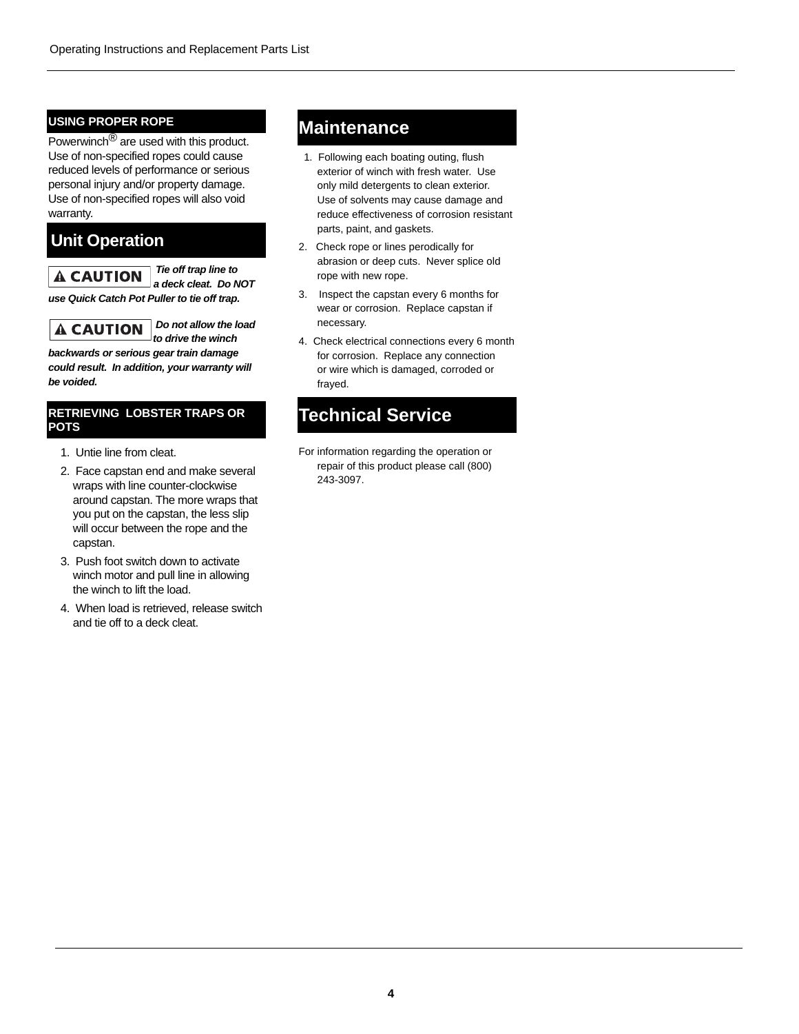#### **USING PROPER ROPE**

Powerwinch<sup>®</sup> are used with this product. Use of non-specified ropes could cause reduced levels of performance or serious personal injury and/or property damage. Use of non-specified ropes will also void warranty.

### **Unit Operation**

 *Tie off trap line to a deck cleat. Do NOT use Quick Catch Pot Puller to tie off trap.*

 *Do not allow the load*  **A CAUTION** *to drive the winch* 

*backwards or serious gear train damage could result. In addition, your warranty will be voided.* 

#### **RETRIEVING LOBSTER TRAPS OR POTS**

- 1. Untie line from cleat.
- 2. Face capstan end and make several wraps with line counter-clockwise around capstan. The more wraps that you put on the capstan, the less slip will occur between the rope and the capstan.
- 3. Push foot switch down to activate winch motor and pull line in allowing the winch to lift the load.
- 4. When load is retrieved, release switch and tie off to a deck cleat.

### **Maintenance**

- 1. Following each boating outing, flush exterior of winch with fresh water. Use only mild detergents to clean exterior. Use of solvents may cause damage and reduce effectiveness of corrosion resistant parts, paint, and gaskets.
- 2. Check rope or lines perodically for abrasion or deep cuts. Never splice old rope with new rope.
- 3. Inspect the capstan every 6 months for wear or corrosion. Replace capstan if necessary.
- 4. Check electrical connections every 6 month for corrosion. Replace any connection or wire which is damaged, corroded or frayed.

### **Technical Service**

For information regarding the operation or repair of this product please call (800) 243-3097.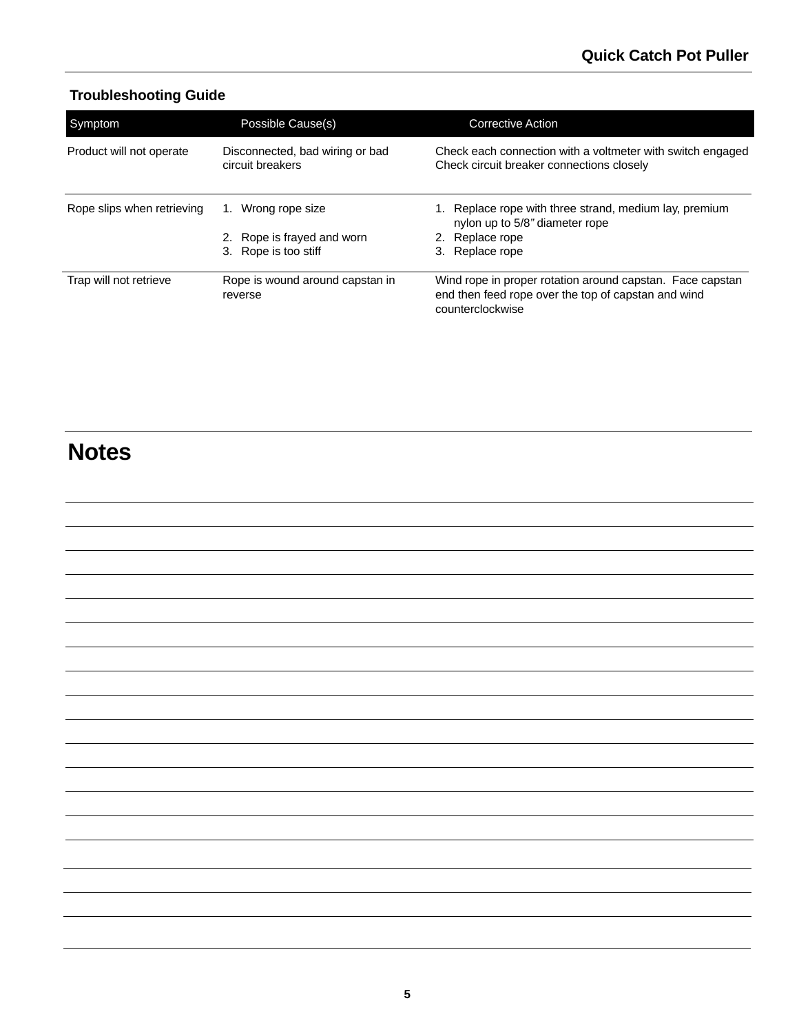### **Troubleshooting Guide**

| Symptom                    | Possible Cause(s)                                   | Corrective Action                                                                                                                    |
|----------------------------|-----------------------------------------------------|--------------------------------------------------------------------------------------------------------------------------------------|
| Product will not operate   | Disconnected, bad wiring or bad<br>circuit breakers | Check each connection with a voltmeter with switch engaged<br>Check circuit breaker connections closely                              |
| Rope slips when retrieving | Wrong rope size<br>1.                               | Replace rope with three strand, medium lay, premium<br>nylon up to 5/8" diameter rope                                                |
|                            | 2. Rope is frayed and worn                          | Replace rope                                                                                                                         |
|                            | Rope is too stiff<br>3.                             | Replace rope                                                                                                                         |
| Trap will not retrieve     | Rope is wound around capstan in<br>reverse          | Wind rope in proper rotation around capstan. Face capstan<br>end then feed rope over the top of capstan and wind<br>counterclockwise |

# **Notes**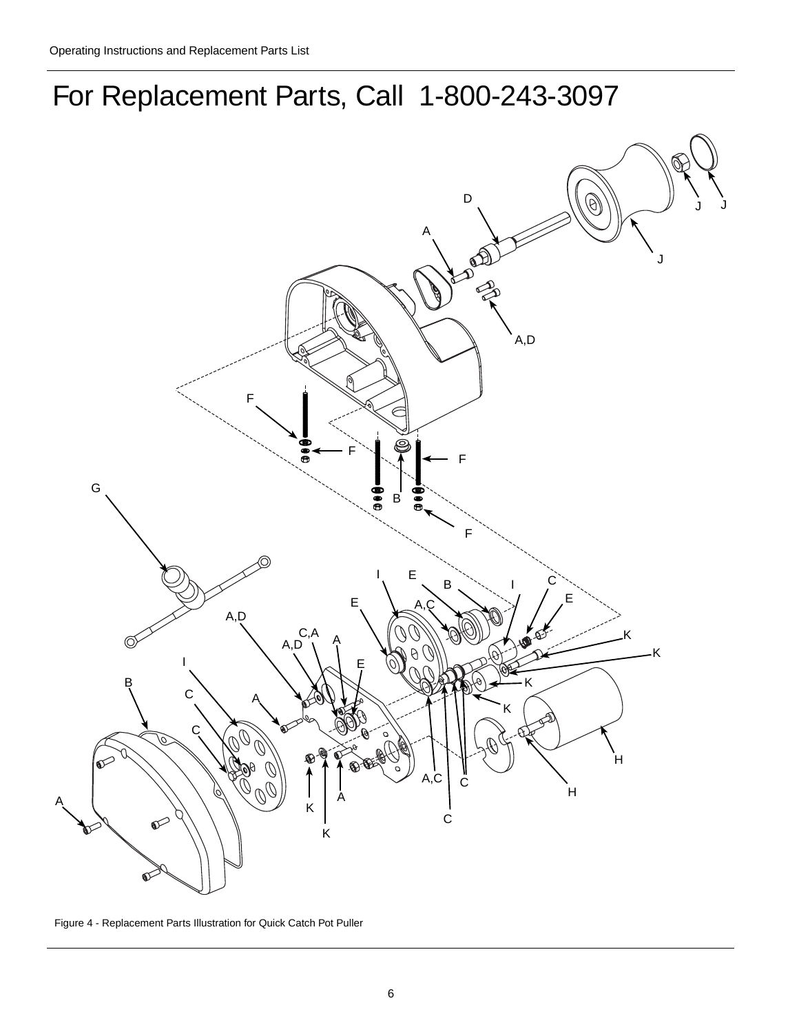



Figure 4 - Replacement Parts Illustration for Quick Catch Pot Puller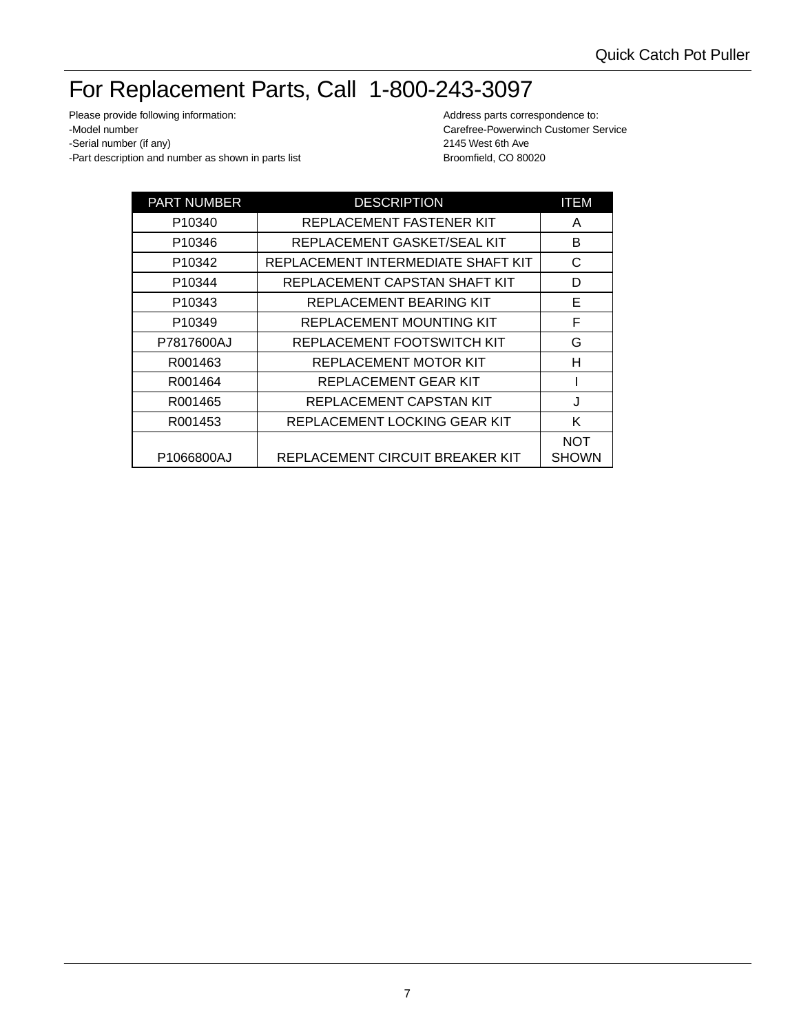# For Replacement Parts, Call 1-800-243-3097

Please provide following information: example and the matter of the Address parts correspondence to: -Model number Carefree-Powerwinch Customer Service -Serial number (if any) 2145 West 6th Ave -Part description and number as shown in parts list Broomfield, CO 80020

| <b>PART NUMBER</b> | <b>DESCRIPTION</b>                 | <b>ITEM</b>                |
|--------------------|------------------------------------|----------------------------|
| P <sub>10340</sub> | REPLACEMENT FASTENER KIT           | A                          |
| P10346             | REPLACEMENT GASKET/SEAL KIT        | B                          |
| P10342             | REPLACEMENT INTERMEDIATE SHAFT KIT | С                          |
| P10344             | REPLACEMENT CAPSTAN SHAFT KIT      | D                          |
| P10343             | REPLACEMENT BEARING KIT            | Е                          |
| P10349             | <b>REPLACEMENT MOUNTING KIT</b>    | F                          |
| P7817600AJ         | REPLACEMENT FOOTSWITCH KIT         | G                          |
| R001463            | REPLACEMENT MOTOR KIT              | н                          |
| R001464            | REPLACEMENT GEAR KIT               |                            |
| R001465            | REPLACEMENT CAPSTAN KIT            | J                          |
| R001453            | REPLACEMENT LOCKING GEAR KIT       | K                          |
| P1066800AJ         | REPLACEMENT CIRCUIT BREAKER KIT    | <b>NOT</b><br><b>SHOWN</b> |